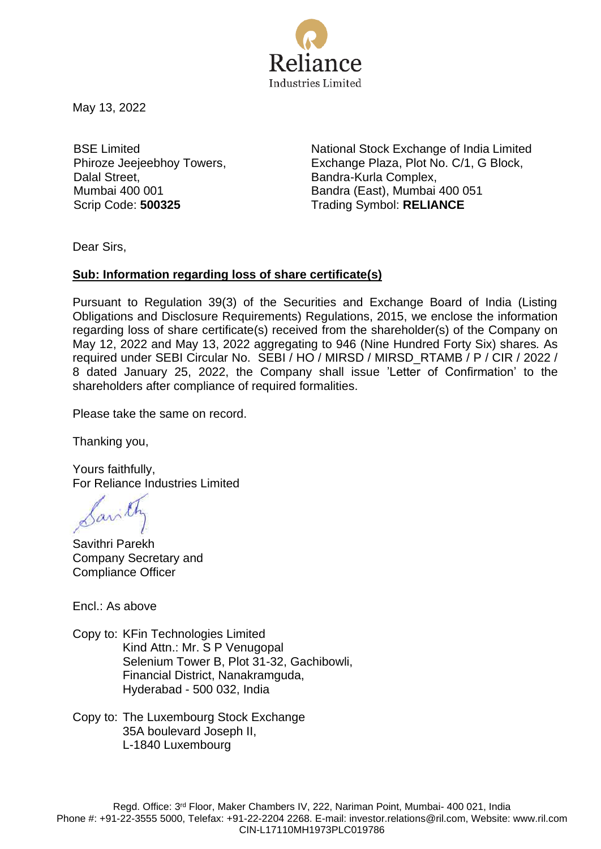

May 13, 2022

BSE Limited Phiroze Jeejeebhoy Towers, Dalal Street, Mumbai 400 001

National Stock Exchange of India Limited Exchange Plaza, Plot No. C/1, G Block, Bandra-Kurla Complex, Bandra (East), Mumbai 400 051 Scrip Code: **500325** Trading Symbol: **RELIANCE**

Dear Sirs,

## **Sub: Information regarding loss of share certificate(s)**

Pursuant to Regulation 39(3) of the Securities and Exchange Board of India (Listing Obligations and Disclosure Requirements) Regulations, 2015, we enclose the information regarding loss of share certificate(s) received from the shareholder(s) of the Company on May 12, 2022 and May 13, 2022 aggregating to 946 (Nine Hundred Forty Six) shares*.* As required under SEBI Circular No. SEBI / HO / MIRSD / MIRSD\_RTAMB / P / CIR / 2022 / 8 dated January 25, 2022, the Company shall issue 'Letter of Confirmation' to the shareholders after compliance of required formalities.

Please take the same on record.

Thanking you,

Yours faithfully, For Reliance Industries Limited

Savithri Parekh Company Secretary and Compliance Officer

Encl.: As above

Copy to: KFin Technologies Limited Kind Attn.: Mr. S P Venugopal Selenium Tower B, Plot 31-32, Gachibowli, Financial District, Nanakramguda, Hyderabad - 500 032, India

Copy to: The Luxembourg Stock Exchange 35A boulevard Joseph II, L-1840 Luxembourg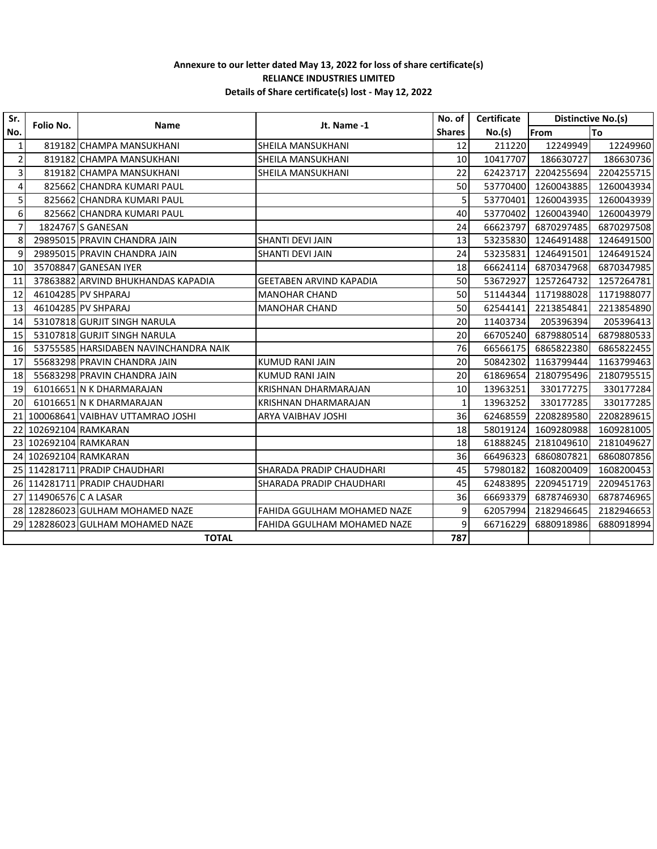## **Annexure to our letter dated May 13, 2022 for loss of share certificate(s) RELIANCE INDUSTRIES LIMITED Details of Share certificate(s) lost - May 12, 2022**

| Sr.                     | Folio No.              | Name                                  | Jt. Name -1                        | No. of I      | Certificate | Distinctive No.(s) |            |
|-------------------------|------------------------|---------------------------------------|------------------------------------|---------------|-------------|--------------------|------------|
| No.                     |                        |                                       |                                    | <b>Shares</b> | No.(s)      | From               | <b>To</b>  |
| 1                       |                        | 819182 CHAMPA MANSUKHANI              | SHEILA MANSUKHANI                  | 12            | 211220      | 12249949           | 12249960   |
| $\overline{\mathbf{c}}$ |                        | 819182 CHAMPA MANSUKHANI              | <b>SHEILA MANSUKHANI</b>           | 10            | 10417707    | 186630727          | 186630736  |
| $\overline{\mathbf{3}}$ |                        | 819182 CHAMPA MANSUKHANI              | SHEILA MANSUKHANI                  | 22            | 62423717    | 2204255694         | 2204255715 |
| 4                       |                        | 825662 CHANDRA KUMARI PAUL            |                                    | 50            | 53770400    | 1260043885         | 1260043934 |
| 5                       |                        | 825662 CHANDRA KUMARI PAUL            |                                    | 5             | 53770401    | 1260043935         | 1260043939 |
| 6                       |                        | 825662 CHANDRA KUMARI PAUL            |                                    | 40            | 53770402    | 1260043940         | 1260043979 |
| $\overline{7}$          |                        | 1824767 S GANESAN                     |                                    | 24            | 66623797    | 6870297485         | 6870297508 |
| 8                       |                        | 29895015 PRAVIN CHANDRA JAIN          | <b>SHANTI DEVI JAIN</b>            | 13            | 53235830    | 1246491488         | 1246491500 |
| 9                       |                        | 29895015 PRAVIN CHANDRA JAIN          | <b>SHANTI DEVI JAIN</b>            | 24            | 53235831    | 1246491501         | 1246491524 |
| 10                      |                        | 35708847 GANESAN IYER                 |                                    | 18            | 66624114    | 6870347968         | 6870347985 |
| 11                      |                        | 37863882 ARVIND BHUKHANDAS KAPADIA    | <b>GEETABEN ARVIND KAPADIA</b>     | 50            | 53672927    | 1257264732         | 1257264781 |
| 12                      |                        | 46104285 PV SHPARAJ                   | <b>MANOHAR CHAND</b>               | 50            | 51144344    | 1171988028         | 1171988077 |
| 13                      |                        | 46104285 PV SHPARAJ                   | <b>MANOHAR CHAND</b>               | 50            | 62544141    | 2213854841         | 2213854890 |
| 14                      |                        | 53107818 GURJIT SINGH NARULA          |                                    | 20            | 11403734    | 205396394          | 205396413  |
| 15                      |                        | 53107818 GURJIT SINGH NARULA          |                                    | 20            | 66705240    | 6879880514         | 6879880533 |
| 16                      |                        | 53755585 HARSIDABEN NAVINCHANDRA NAIK |                                    | 76            | 66566175    | 6865822380         | 6865822455 |
| 17                      |                        | 55683298 PRAVIN CHANDRA JAIN          | <b>KUMUD RANI JAIN</b>             | 20            | 50842302    | 1163799444         | 1163799463 |
| 18                      |                        | 55683298 PRAVIN CHANDRA JAIN          | <b>KUMUD RANI JAIN</b>             | 20            | 61869654    | 2180795496         | 2180795515 |
| 19                      |                        | 61016651 N K DHARMARAJAN              | KRISHNAN DHARMARAJAN               | 10            | 13963251    | 330177275          | 330177284  |
| 20                      |                        | 61016651 N K DHARMARAJAN              | KRISHNAN DHARMARAJAN               | 1             | 13963252    | 330177285          | 330177285  |
| 21                      |                        | 100068641 VAIBHAV UTTAMRAO JOSHI      | ARYA VAIBHAV JOSHI                 | 36            | 62468559    | 2208289580         | 2208289615 |
| 22                      |                        | 102692104 RAMKARAN                    |                                    | 18            | 58019124    | 1609280988         | 1609281005 |
| 23                      |                        | 102692104 RAMKARAN                    |                                    | 18            | 61888245    | 2181049610         | 2181049627 |
|                         |                        | 24 102692104 RAMKARAN                 |                                    | 36            | 66496323    | 6860807821         | 6860807856 |
|                         |                        | 25 114281711 PRADIP CHAUDHARI         | SHARADA PRADIP CHAUDHARI           | 45            | 57980182    | 1608200409         | 1608200453 |
|                         |                        | 26 114281711 PRADIP CHAUDHARI         | SHARADA PRADIP CHAUDHARI           | 45            | 62483895    | 2209451719         | 2209451763 |
|                         | 27 114906576 C A LASAR |                                       |                                    | 36            | 66693379    | 6878746930         | 6878746965 |
|                         |                        | 28 128286023 GULHAM MOHAMED NAZE      | <b>FAHIDA GGULHAM MOHAMED NAZE</b> | 9             | 62057994    | 2182946645         | 2182946653 |
|                         |                        | 29 128286023 GULHAM MOHAMED NAZE      | <b>FAHIDA GGULHAM MOHAMED NAZE</b> | 9             | 66716229    | 6880918986         | 6880918994 |
|                         | <b>TOTAL</b>           |                                       |                                    |               |             |                    |            |